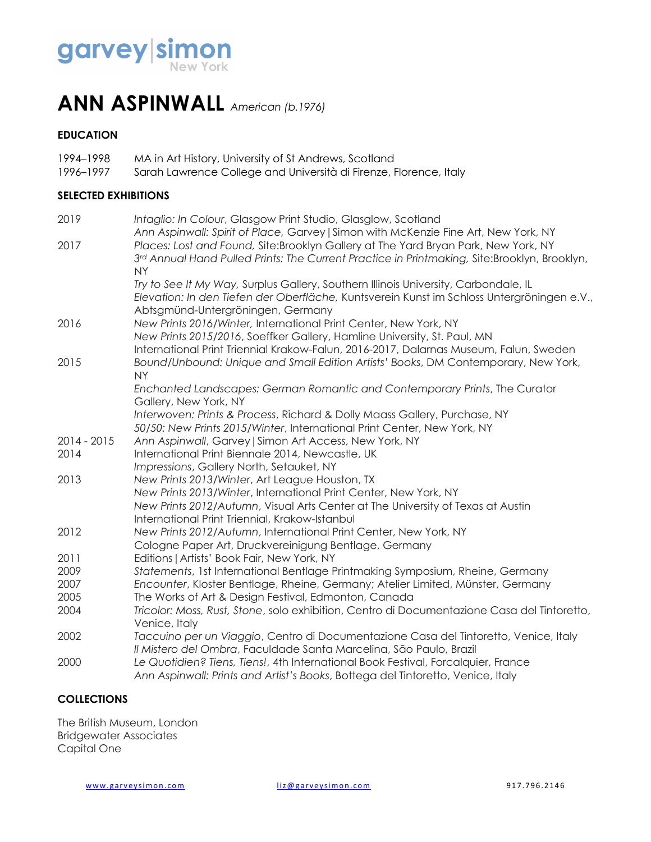

### **ANN ASPINWALL** *American (b.1976)*

#### **EDUCATION**

| 1994–1998 | MA in Art History, University of St Andrews, Scotland             |
|-----------|-------------------------------------------------------------------|
| 1996–1997 | Sarah Lawrence College and Università di Firenze, Florence, Italy |

#### **SELECTED EXHIBITIONS**

| 2019        | Intaglio: In Colour, Glasgow Print Studio, Glasglow, Scotland                                                                                                             |
|-------------|---------------------------------------------------------------------------------------------------------------------------------------------------------------------------|
| 2017        | Ann Aspinwall: Spirit of Place, Garvey   Simon with McKenzie Fine Art, New York, NY<br>Places: Lost and Found, Site:Brooklyn Gallery at The Yard Bryan Park, New York, NY |
|             | 3rd Annual Hand Pulled Prints: The Current Practice in Printmaking, Site:Brooklyn, Brooklyn,                                                                              |
|             | <b>NY</b>                                                                                                                                                                 |
|             | Try to See It My Way, Surplus Gallery, Southern Illinois University, Carbondale, IL                                                                                       |
|             | Elevation: In den Tiefen der Oberfläche, Kuntsverein Kunst im Schloss Untergröningen e.V.,                                                                                |
|             | Abtsgmünd-Untergröningen, Germany                                                                                                                                         |
| 2016        | New Prints 2016/Winter, International Print Center, New York, NY                                                                                                          |
|             | New Prints 2015/2016, Soeffker Gallery, Hamline University, St. Paul, MN                                                                                                  |
|             | International Print Triennial Krakow-Falun, 2016-2017, Dalarnas Museum, Falun, Sweden                                                                                     |
| 2015        | Bound/Unbound: Unique and Small Edition Artists' Books, DM Contemporary, New York,                                                                                        |
|             | <b>NY</b>                                                                                                                                                                 |
|             | Enchanted Landscapes: German Romantic and Contemporary Prints, The Curator                                                                                                |
|             | Gallery, New York, NY                                                                                                                                                     |
|             | Interwoven: Prints & Process, Richard & Dolly Maass Gallery, Purchase, NY                                                                                                 |
|             | 50/50: New Prints 2015/Winter, International Print Center, New York, NY                                                                                                   |
| 2014 - 2015 | Ann Aspinwall, Garvey   Simon Art Access, New York, NY                                                                                                                    |
| 2014        | International Print Biennale 2014, Newcastle, UK                                                                                                                          |
| 2013        | Impressions, Gallery North, Setauket, NY                                                                                                                                  |
|             | New Prints 2013/Winter, Art League Houston, TX<br>New Prints 2013/Winter, International Print Center, New York, NY                                                        |
|             | New Prints 2012/Autumn, Visual Arts Center at The University of Texas at Austin                                                                                           |
|             | International Print Triennial, Krakow-Istanbul                                                                                                                            |
| 2012        | New Prints 2012/Autumn, International Print Center, New York, NY                                                                                                          |
|             | Cologne Paper Art, Druckvereinigung Bentlage, Germany                                                                                                                     |
| 2011        | Editions   Artists' Book Fair, New York, NY                                                                                                                               |
| 2009        | Statements, 1st International Bentlage Printmaking Symposium, Rheine, Germany                                                                                             |
| 2007        | Encounter, Kloster Bentlage, Rheine, Germany; Atelier Limited, Münster, Germany                                                                                           |
| 2005        | The Works of Art & Design Festival, Edmonton, Canada                                                                                                                      |
| 2004        | Tricolor: Moss, Rust, Stone, solo exhibition, Centro di Documentazione Casa del Tintoretto,                                                                               |
|             | Venice, Italy                                                                                                                                                             |
| 2002        | Taccuino per un Viaggio, Centro di Documentazione Casa del Tintoretto, Venice, Italy                                                                                      |
|             | Il Mistero del Ombra, Faculdade Santa Marcelina, São Paulo, Brazil                                                                                                        |
| 2000        | Le Quotidien? Tiens, Tiens!, 4th International Book Festival, Forcalquier, France                                                                                         |
|             | Ann Aspinwall: Prints and Artist's Books, Bottega del Tintoretto, Venice, Italy                                                                                           |

#### **COLLECTIONS**

The British Museum, London Bridgewater Associates Capital One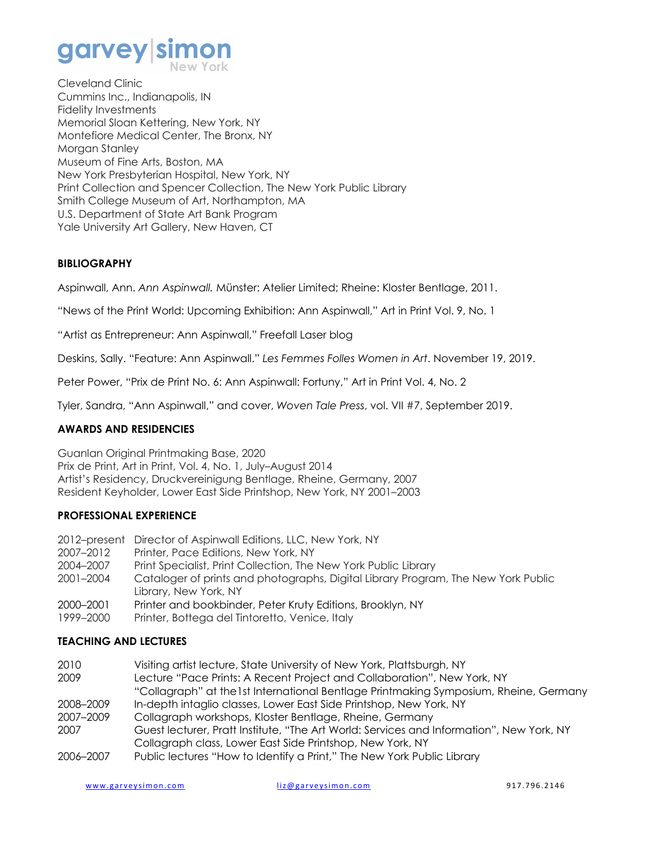# garvey sim

Cleveland Clinic Cummins Inc., Indianapolis, IN Fidelity Investments Memorial Sloan Kettering, New York, NY Montefiore Medical Center, The Bronx, NY Morgan Stanley Museum of Fine Arts, Boston, MA New York Presbyterian Hospital, New York, NY Print Collection and Spencer Collection, The New York Public Library Smith College Museum of Art, Northampton, MA U.S. Department of State Art Bank Program Yale University Art Gallery, New Haven, CT

#### **BIBLIOGRAPHY**

Aspinwall, Ann. *Ann Aspinwall.* Münster: Atelier Limited; Rheine: Kloster Bentlage, 2011.

"News of the Print World: Upcoming Exhibition: Ann Aspinwall," Art in Print Vol. 9, No. 1

"Artist as Entrepreneur: Ann Aspinwall," Freefall Laser blog

Deskins, Sally. "Feature: Ann Aspinwall." *Les Femmes Folles Women in Art*. November 19, 2019.

Peter Power, "Prix de Print No. 6: Ann Aspinwall: Fortuny," Art in Print Vol. 4, No. 2

Tyler, Sandra, "Ann Aspinwall," and cover, *Woven Tale Press*, vol. VII #7, September 2019.

#### **AWARDS AND RESIDENCIES**

Guanlan Original Printmaking Base, 2020 Prix de Print, Art in Print, Vol. 4, No. 1, July–August 2014 Artist's Residency, Druckvereinigung Bentlage, Rheine, Germany, 2007 Resident Keyholder, Lower East Side Printshop, New York, NY 2001–2003

#### **PROFESSIONAL EXPERIENCE**

2012–present Director of Aspinwall Editions, LLC, New York, NY 2007–2012 Printer, Pace Editions, New York, NY 2004–2007 Print Specialist, Print Collection, The New York Public Library 2001–2004 Cataloger of prints and photographs, Digital Library Program, The New York Public Library, New York, NY 2000–2001 Printer and bookbinder, Peter Kruty Editions, Brooklyn, NY 1999–2000 Printer, Bottega del Tintoretto, Venice, Italy

#### **TEACHING AND LECTURES**

| 2010      | Visiting artist lecture, State University of New York, Plattsburgh, NY                   |
|-----------|------------------------------------------------------------------------------------------|
| 2009      | Lecture "Pace Prints: A Recent Project and Collaboration", New York, NY                  |
|           | "Collagraph" at the 1st International Bentlage Printmaking Symposium, Rheine, Germany    |
| 2008–2009 | In-depth intaglio classes, Lower East Side Printshop, New York, NY                       |
| 2007-2009 | Collagraph workshops, Kloster Bentlage, Rheine, Germany                                  |
| 2007      | Guest lecturer, Pratt Institute, "The Art World: Services and Information", New York, NY |
|           | Collagraph class, Lower East Side Printshop, New York, NY                                |
| 2005–2007 | Public lectures "How to Identify a Print" The New York Public Library                    |

2006–2007 Public lectures "How to Identify a Print," The New York Public Library